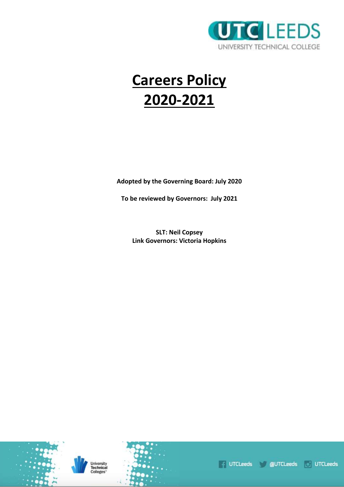

# **Careers Policy 2020-2021**

**Adopted by the Governing Board: July 2020**

**To be reviewed by Governors: July 2021**

**SLT: Neil Copsey Link Governors: Victoria Hopkins**



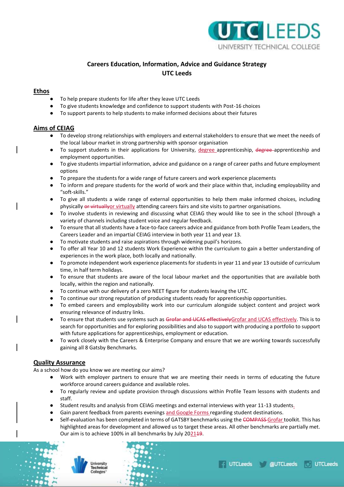

## **Careers Education, Information, Advice and Guidance Strategy UTC Leeds**

## **Ethos**

- To help prepare students for life after they leave UTC Leeds
- To give students knowledge and confidence to support students with Post-16 choices
- To support parents to help students to make informed decisions about their futures

## **Aims of CEIAG**

- To develop strong relationships with employers and external stakeholders to ensure that we meet the needs of the local labour market in strong partnership with sponsor organisation
- To support students in their applications for University, degree apprenticeship, degree apprenticeship and employment opportunities.
- To give students impartial information, advice and guidance on a range of career paths and future employment options
- To prepare the students for a wide range of future careers and work experience placements
- To inform and prepare students for the world of work and their place within that, including employability and "soft-skills."
- To give all students a wide range of external opportunities to help them make informed choices, including physically or virtually or virtually attending careers fairs and site visits to partner organisations.
- To involve students in reviewing and discussing what CEIAG they would like to see in the school (through a variety of channels including student voice and regular feedback.
- To ensure that all students have a face-to-face careers advice and guidance from both Profile Team Leaders, the Careers Leader and an impartial CEIAG interview in both year 11 and year 13.
- To motivate students and raise aspirations through widening pupil's horizons.
- To offer all Year 10 and 12 students Work Experience within the curriculum to gain a better understanding of experiences in the work place, both locally and nationally.
- To promote independent work experience placements for students in year 11 and year 13 outside of curriculum time, in half term holidays.
- To ensure that students are aware of the local labour market and the opportunities that are available both locally, within the region and nationally.
- To continue with our delivery of a zero NEET figure for students leaving the UTC.
- To continue our strong reputation of producing students ready for apprenticeship opportunities.
- To embed careers and employability work into our curriculum alongside subject content and project work ensuring relevance of industry links.
- To ensure that students use systems such as Grofar and UCAS effectivelyGrofar and UCAS effectively. This is to search for opportunities and for exploring possibilities and also to support with producing a portfolio to support with future applications for apprenticeships, employment or education.
- To work closely with the Careers & Enterprise Company and ensure that we are working towards successfully gaining all 8 Gatsby Benchmarks.

## **Quality Assurance**

As a school how do you know we are meeting our aims?

- Work with employer partners to ensure that we are meeting their needs in terms of educating the future workforce around careers guidance and available roles.
- To regularly review and update provision through discussions within Profile Team lessons with students and staff.
- Student results and analysis from CEIAG meetings and external interviews with year 11-13 students.
- Gain parent feedback from parents evenings and Google Forms regarding student destinations.
- Self-evaluation has been completed in terms of GATSBY benchmarks using the COMPASS Grofar toolkit. This has highlighted areas for development and allowed us to target these areas. All other benchmarks are partially met. Our aim is to achieve 100% in all benchmarks by July 202149.



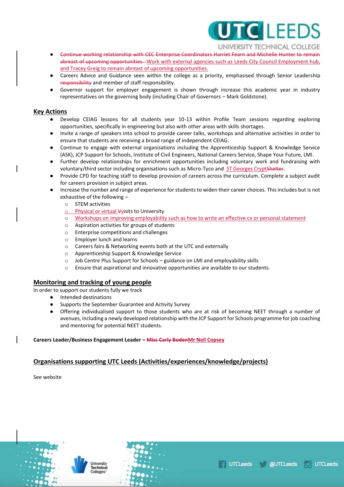

UNIVERSITY TECHNICAL COLLEGE

- Continue working relationship with CEC Enterprise Coordinators Harriet Fearn and Michelle Hunter to remain abreast of upcoming opportunities. Work with external agencies such as Leeds City Council Employment hub, and Tracey Greig to remain abreast of upcoming opportunities.
- Careers Advice and Guidance seen within the college as a priority, emphasised through Senior Leadership responsibility and member of staff responsibility.
- Governor support for employer engagement is shown through increase this academic year in industry representatives on the governing body (including Chair of Governors – Mark Goldstone).

## **Key Actions**

- Develop CEIAG lessons for all students year 10-13 within Profile Team sessions regarding exploring opportunities, specifically in engineering but also with other areas with skills shortages.
- Invite a range of speakers into school to provide career talks, workshops and alternative activities in order to ensure that students are receiving a broad range of independent CEIAG.
- Continue to engage with external organisations including the Apprenticeship Support & Knowledge Service (ASK), JCP Support for Schools, Institute of Civil Engineers, National Careers Service, Shape Your Future, LMI.
- Further develop relationships for enrichment opportunities including voluntary work and fundraising with voluntary/third sector including organisations such as Micro-Tyco and ST Georges CryptShelter.
- Provide CPD for teaching staff to develop provision of careers across the curriculum. Complete a subject audit for careers provision in subject areas.
- Increase the number and range of experience for students to widen their career choices. This includes but is not exhaustive of the following –
	- o STEM activities
	- o Physical or virtual Vvisits to University
	- o Workshops on improving employability such as how to write an effective cv or personal statement
	- o Aspiration activities for groups of students
	- o Enterprise competitions and challenges
	- o Employer lunch and learns
	- o Careers fairs & Networking events both at the UTC and externally
	- o Apprenticeship Support & Knowledge Service
	- o Job Centre Plus Support for Schools guidance on LMI and employability skills
	- o Ensure that aspirational and innovative opportunities are available to our students.

## **Monitoring and tracking of young people**

In order to support our students fully we track

- Intended destinations
- Supports the September Guarantee and Activity Survey
- Offering individualised support to those students who are at risk of becoming NEET through a number of avenues, including a newly developed relationship with the JCP Support for Schools programme for job coaching and mentoring for potential NEET students.

#### **Careers Leader/Business Engagement Leader – Miss Carly BodenMr Neil Copsey**

## **Organisations supporting UTC Leeds (Activities/experiences/knowledge/projects)**

See website